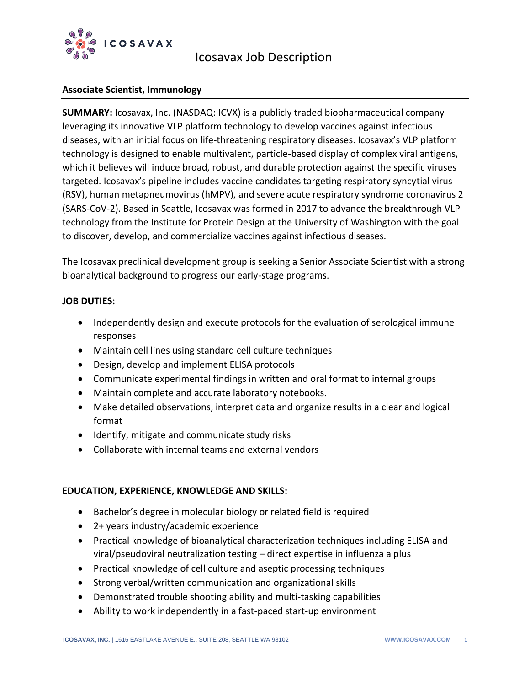

# Icosavax Job Description

## **Associate Scientist, Immunology**

**SUMMARY:** Icosavax, Inc. (NASDAQ: ICVX) is a publicly traded biopharmaceutical company leveraging its innovative VLP platform technology to develop vaccines against infectious diseases, with an initial focus on life-threatening respiratory diseases. Icosavax's VLP platform technology is designed to enable multivalent, particle-based display of complex viral antigens, which it believes will induce broad, robust, and durable protection against the specific viruses targeted. Icosavax's pipeline includes vaccine candidates targeting respiratory syncytial virus (RSV), human metapneumovirus (hMPV), and severe acute respiratory syndrome coronavirus 2 (SARS-CoV-2). Based in Seattle, Icosavax was formed in 2017 to advance the breakthrough VLP technology from the Institute for Protein Design at the University of Washington with the goal to discover, develop, and commercialize vaccines against infectious diseases.

The Icosavax preclinical development group is seeking a Senior Associate Scientist with a strong bioanalytical background to progress our early-stage programs.

### **JOB DUTIES:**

- Independently design and execute protocols for the evaluation of serological immune responses
- Maintain cell lines using standard cell culture techniques
- Design, develop and implement ELISA protocols
- Communicate experimental findings in written and oral format to internal groups
- Maintain complete and accurate laboratory notebooks.
- Make detailed observations, interpret data and organize results in a clear and logical format
- Identify, mitigate and communicate study risks
- Collaborate with internal teams and external vendors

## **EDUCATION, EXPERIENCE, KNOWLEDGE AND SKILLS:**

- Bachelor's degree in molecular biology or related field is required
- 2+ years industry/academic experience
- Practical knowledge of bioanalytical characterization techniques including ELISA and viral/pseudoviral neutralization testing – direct expertise in influenza a plus
- Practical knowledge of cell culture and aseptic processing techniques
- Strong verbal/written communication and organizational skills
- Demonstrated trouble shooting ability and multi-tasking capabilities
- Ability to work independently in a fast-paced start-up environment